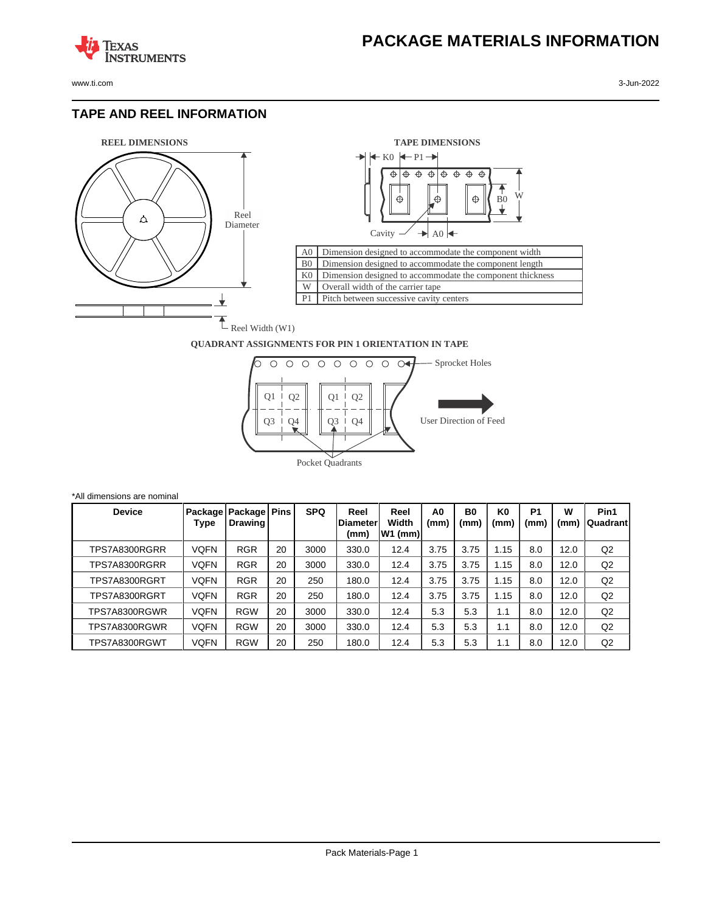www.ti.com 3-Jun-2022

**TEXAS** 

## **TAPE AND REEL INFORMATION**

**ISTRUMENTS** 





## **QUADRANT ASSIGNMENTS FOR PIN 1 ORIENTATION IN TAPE**



| *All dimensions are nominal |             |                                          |    |            |                                  |                            |            |                        |                        |                        |           |                   |
|-----------------------------|-------------|------------------------------------------|----|------------|----------------------------------|----------------------------|------------|------------------------|------------------------|------------------------|-----------|-------------------|
| <b>Device</b>               | Type        | ∣ Package   Package   Pins  <br>Drawing! |    | <b>SPQ</b> | Reel<br><b>IDiameter</b><br>(mm) | Reel<br>Width<br>$W1$ (mm) | A0<br>(mm) | B <sub>0</sub><br>(mm) | K <sub>0</sub><br>(mm) | P <sub>1</sub><br>(mm) | W<br>(mm) | Pin1<br> Quadrant |
| TPS7A8300RGRR               | <b>VOFN</b> | <b>RGR</b>                               | 20 | 3000       | 330.0                            | 12.4                       | 3.75       | 3.75                   | 1.15                   | 8.0                    | 12.0      | Q2                |
| TPS7A8300RGRR               | VQFN        | <b>RGR</b>                               | 20 | 3000       | 330.0                            | 12.4                       | 3.75       | 3.75                   | 1.15                   | 8.0                    | 12.0      | Q <sub>2</sub>    |
| TPS7A8300RGRT               | VQFN        | <b>RGR</b>                               | 20 | 250        | 180.0                            | 12.4                       | 3.75       | 3.75                   | 1.15                   | 8.0                    | 12.0      | Q <sub>2</sub>    |
| TPS7A8300RGRT               | <b>VQFN</b> | <b>RGR</b>                               | 20 | 250        | 180.0                            | 12.4                       | 3.75       | 3.75                   | 1.15                   | 8.0                    | 12.0      | Q2                |
| TPS7A8300RGWR               | VQFN        | <b>RGW</b>                               | 20 | 3000       | 330.0                            | 12.4                       | 5.3        | 5.3                    | 1.1                    | 8.0                    | 12.0      | Q2                |
| TPS7A8300RGWR               | VQFN        | <b>RGW</b>                               | 20 | 3000       | 330.0                            | 12.4                       | 5.3        | 5.3                    | 1.1                    | 8.0                    | 12.0      | Q <sub>2</sub>    |
| TPS7A8300RGWT               | VQFN        | <b>RGW</b>                               | 20 | 250        | 180.0                            | 12.4                       | 5.3        | 5.3                    | 1.1                    | 8.0                    | 12.0      | Q2                |